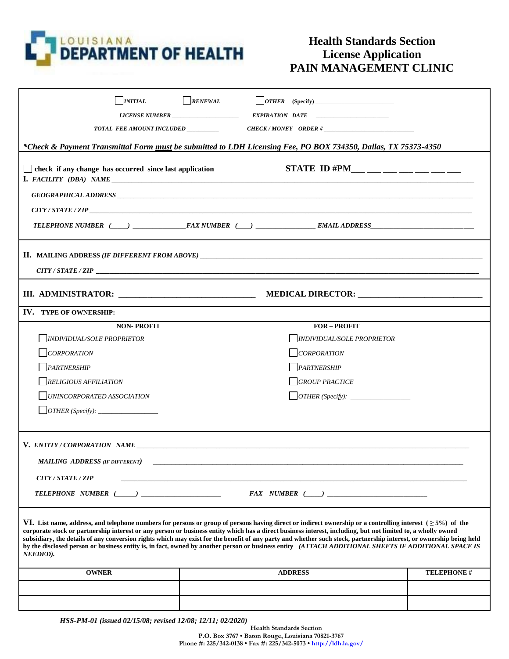

## **Health Standards Section License Application PAIN MANAGEMENT CLINIC**

| <b>INITIAL</b><br>TOTAL FEE AMOUNT INCLUDED ________                                                                                                                                                                           | RENEWAL | $CHECK/MONEY$ ORDER #                                                                                                                                                                                                                                                                                                                                                                                                                                                                                                                                                                                                                                         |                    |
|--------------------------------------------------------------------------------------------------------------------------------------------------------------------------------------------------------------------------------|---------|---------------------------------------------------------------------------------------------------------------------------------------------------------------------------------------------------------------------------------------------------------------------------------------------------------------------------------------------------------------------------------------------------------------------------------------------------------------------------------------------------------------------------------------------------------------------------------------------------------------------------------------------------------------|--------------------|
|                                                                                                                                                                                                                                |         | *Check & Payment Transmittal Form must be submitted to LDH Licensing Fee, PO BOX 734350, Dallas, TX 75373-4350                                                                                                                                                                                                                                                                                                                                                                                                                                                                                                                                                |                    |
| check if any change has occurred since last application                                                                                                                                                                        |         | STATE ID #PM___ __ __ __ __ __ __ __                                                                                                                                                                                                                                                                                                                                                                                                                                                                                                                                                                                                                          |                    |
|                                                                                                                                                                                                                                |         |                                                                                                                                                                                                                                                                                                                                                                                                                                                                                                                                                                                                                                                               |                    |
|                                                                                                                                                                                                                                |         |                                                                                                                                                                                                                                                                                                                                                                                                                                                                                                                                                                                                                                                               |                    |
|                                                                                                                                                                                                                                |         |                                                                                                                                                                                                                                                                                                                                                                                                                                                                                                                                                                                                                                                               |                    |
| CITY / STATE / ZIP                                                                                                                                                                                                             |         |                                                                                                                                                                                                                                                                                                                                                                                                                                                                                                                                                                                                                                                               |                    |
|                                                                                                                                                                                                                                |         |                                                                                                                                                                                                                                                                                                                                                                                                                                                                                                                                                                                                                                                               |                    |
| <b>IV. TYPE OF OWNERSHIP:</b>                                                                                                                                                                                                  |         |                                                                                                                                                                                                                                                                                                                                                                                                                                                                                                                                                                                                                                                               |                    |
| <b>NON-PROFIT</b>                                                                                                                                                                                                              |         | <b>FOR-PROFIT</b>                                                                                                                                                                                                                                                                                                                                                                                                                                                                                                                                                                                                                                             |                    |
| <b>INDIVIDUAL/SOLE PROPRIETOR</b>                                                                                                                                                                                              |         | <b>INDIVIDUAL/SOLE PROPRIETOR</b>                                                                                                                                                                                                                                                                                                                                                                                                                                                                                                                                                                                                                             |                    |
| CORPORATION                                                                                                                                                                                                                    |         | $\Box$ CORPORATION                                                                                                                                                                                                                                                                                                                                                                                                                                                                                                                                                                                                                                            |                    |
| PARTNERSHIP                                                                                                                                                                                                                    |         | PARTNERSHIP                                                                                                                                                                                                                                                                                                                                                                                                                                                                                                                                                                                                                                                   |                    |
| <b>RELIGIOUS AFFILIATION</b>                                                                                                                                                                                                   |         | <b>GROUP PRACTICE</b>                                                                                                                                                                                                                                                                                                                                                                                                                                                                                                                                                                                                                                         |                    |
| UNINCORPORATED ASSOCIATION                                                                                                                                                                                                     |         |                                                                                                                                                                                                                                                                                                                                                                                                                                                                                                                                                                                                                                                               |                    |
|                                                                                                                                                                                                                                |         |                                                                                                                                                                                                                                                                                                                                                                                                                                                                                                                                                                                                                                                               |                    |
| V. ENTITY/CORPORATION NAME THE CONTROL CONTROL CONTROL CONTROL CONTROL CONTROL CONTROL CONTROL CONTROL CONTROL CONTROL CONTROL CONTROL CONTROL CONTROL CONTROL CONTROL CONTROL CONTROL CONTROL CONTROL CONTROL CONTROL CONTROL |         |                                                                                                                                                                                                                                                                                                                                                                                                                                                                                                                                                                                                                                                               |                    |
| <b>MAILING ADDRESS (IF DIFFERENT)</b>                                                                                                                                                                                          |         |                                                                                                                                                                                                                                                                                                                                                                                                                                                                                                                                                                                                                                                               |                    |
| CITY / STATE / ZIP                                                                                                                                                                                                             |         |                                                                                                                                                                                                                                                                                                                                                                                                                                                                                                                                                                                                                                                               |                    |
|                                                                                                                                                                                                                                |         | $FAX$ NUMBER $(\hspace{1cm}\underline{\hspace{1cm}})$                                                                                                                                                                                                                                                                                                                                                                                                                                                                                                                                                                                                         |                    |
| NEEDED).                                                                                                                                                                                                                       |         | VI. List name, address, and telephone numbers for persons or group of persons having direct or indirect ownership or a controlling interest $( \geq 5%)$ of the<br>corporate stock or partnership interest or any person or business entity which has a direct business interest, including, but not limited to, a wholly owned<br>subsidiary, the details of any conversion rights which may exist for the benefit of any party and whether such stock, partnership interest, or ownership being held<br>by the disclosed person or business entity is, in fact, owned by another person or business entity (ATTACH ADDITIONAL SHEETS IF ADDITIONAL SPACE IS |                    |
| <b>OWNER</b>                                                                                                                                                                                                                   |         | <b>ADDRESS</b>                                                                                                                                                                                                                                                                                                                                                                                                                                                                                                                                                                                                                                                | <b>TELEPHONE #</b> |
|                                                                                                                                                                                                                                |         |                                                                                                                                                                                                                                                                                                                                                                                                                                                                                                                                                                                                                                                               |                    |
|                                                                                                                                                                                                                                |         |                                                                                                                                                                                                                                                                                                                                                                                                                                                                                                                                                                                                                                                               |                    |

*HSS-PM-01 (issued 02/15/08; revised 12/08; 12/11; 02/2020)*

**Health Standards Section P.O. Box 3767 • Baton Rouge, Louisiana 70821-3767**

**Phone #: 225/342-0138 • Fax #: 225/342-5073 • <http://ldh.la.gov/>**